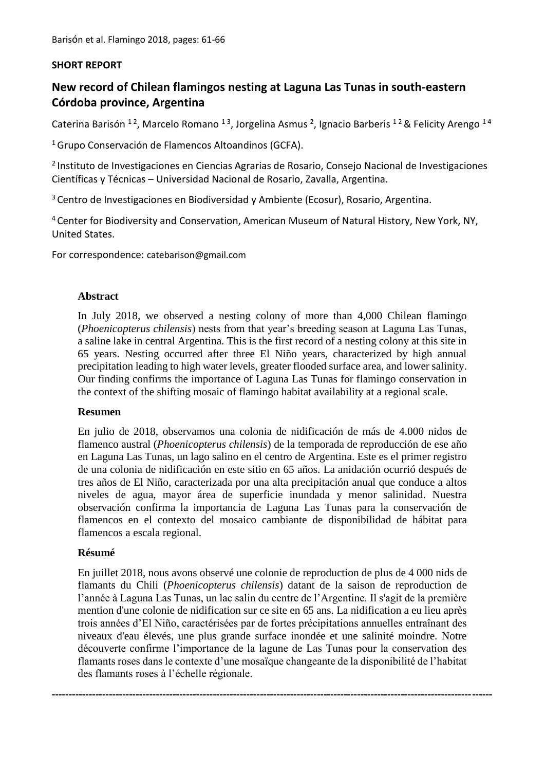## **SHORT REPORT**

# **New record of Chilean flamingos nesting at Laguna Las Tunas in south-eastern Córdoba province, Argentina**

Caterina Barisón <sup>12</sup>, Marcelo Romano <sup>13</sup>, Jorgelina Asmus <sup>2</sup>, Ignacio Barberis <sup>12</sup> & Felicity Arengo <sup>14</sup>

<sup>1</sup> Grupo Conservación de Flamencos Altoandinos (GCFA).

2 Instituto de Investigaciones en Ciencias Agrarias de Rosario, Consejo Nacional de Investigaciones Científicas y Técnicas – Universidad Nacional de Rosario, Zavalla, Argentina.

<sup>3</sup> Centro de Investigaciones en Biodiversidad y Ambiente (Ecosur), Rosario, Argentina.

<sup>4</sup> Center for Biodiversity and Conservation, American Museum of Natural History, New York, NY, United States.

For correspondence: catebarison@gmail.com

## **Abstract**

In July 2018, we observed a nesting colony of more than 4,000 Chilean flamingo (*Phoenicopterus chilensis*) nests from that year's breeding season at Laguna Las Tunas, a saline lake in central Argentina. This is the first record of a nesting colony at this site in 65 years. Nesting occurred after three El Niño years, characterized by high annual precipitation leading to high water levels, greater flooded surface area, and lower salinity. Our finding confirms the importance of Laguna Las Tunas for flamingo conservation in the context of the shifting mosaic of flamingo habitat availability at a regional scale.

#### **Resumen**

En julio de 2018, observamos una colonia de nidificación de más de 4.000 nidos de flamenco austral (*Phoenicopterus chilensis*) de la temporada de reproducción de ese año en Laguna Las Tunas, un lago salino en el centro de Argentina. Este es el primer registro de una colonia de nidificación en este sitio en 65 años. La anidación ocurrió después de tres años de El Niño, caracterizada por una alta precipitación anual que conduce a altos niveles de agua, mayor área de superficie inundada y menor salinidad. Nuestra observación confirma la importancia de Laguna Las Tunas para la conservación de flamencos en el contexto del mosaico cambiante de disponibilidad de hábitat para flamencos a escala regional.

## **Résumé**

En juillet 2018, nous avons observé une colonie de reproduction de plus de 4 000 nids de flamants du Chili (*Phoenicopterus chilensis*) datant de la saison de reproduction de l'année à Laguna Las Tunas, un lac salin du centre de l'Argentine. Il s'agit de la première mention d'une colonie de nidification sur ce site en 65 ans. La nidification a eu lieu après trois années d'El Niño, caractérisées par de fortes précipitations annuelles entraînant des niveaux d'eau élevés, une plus grande surface inondée et une salinité moindre. Notre découverte confirme l'importance de la lagune de Las Tunas pour la conservation des flamants roses dans le contexte d'une mosaïque changeante de la disponibilité de l'habitat des flamants roses à l'échelle régionale.

**-----------------------------------------------------------------------------------------------------------------------------------**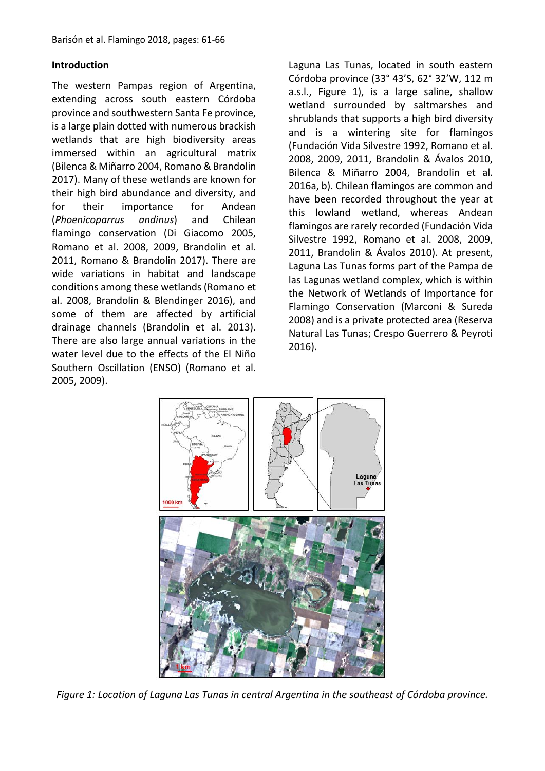# **Introduction**

The western Pampas region of Argentina, extending across south eastern Córdoba province and southwestern Santa Fe province, is a large plain dotted with numerous brackish wetlands that are high biodiversity areas immersed within an agricultural matrix (Bilenca & Miñarro 2004, Romano & Brandolin 2017). Many of these wetlands are known for their high bird abundance and diversity, and for their importance for Andean (*Phoenicoparrus andinus*) and Chilean flamingo conservation (Di Giacomo 2005, Romano et al. 2008, 2009, Brandolin et al. 2011, Romano & Brandolin 2017). There are wide variations in habitat and landscape conditions among these wetlands (Romano et al. 2008, Brandolin & Blendinger 2016), and some of them are affected by artificial drainage channels (Brandolin et al. 2013). There are also large annual variations in the water level due to the effects of the El Niño Southern Oscillation (ENSO) (Romano et al. 2005, 2009).

Laguna Las Tunas, located in south eastern Córdoba province (33° 43'S, 62° 32'W, 112 m a.s.l., Figure 1), is a large saline, shallow wetland surrounded by saltmarshes and shrublands that supports a high bird diversity and is a wintering site for flamingos (Fundación Vida Silvestre 1992, Romano et al. 2008, 2009, 2011, Brandolin & Ávalos 2010, Bilenca & Miñarro 2004, Brandolin et al. 2016a, b). Chilean flamingos are common and have been recorded throughout the year at this lowland wetland, whereas Andean flamingos are rarely recorded (Fundación Vida Silvestre 1992, Romano et al. 2008, 2009, 2011, Brandolin & Ávalos 2010). At present, Laguna Las Tunas forms part of the Pampa de las Lagunas wetland complex, which is within the Network of Wetlands of Importance for Flamingo Conservation (Marconi & Sureda 2008) and is a private protected area (Reserva Natural Las Tunas; Crespo Guerrero & Peyroti 2016).



*Figure 1: Location of Laguna Las Tunas in central Argentina in the southeast of Córdoba province.*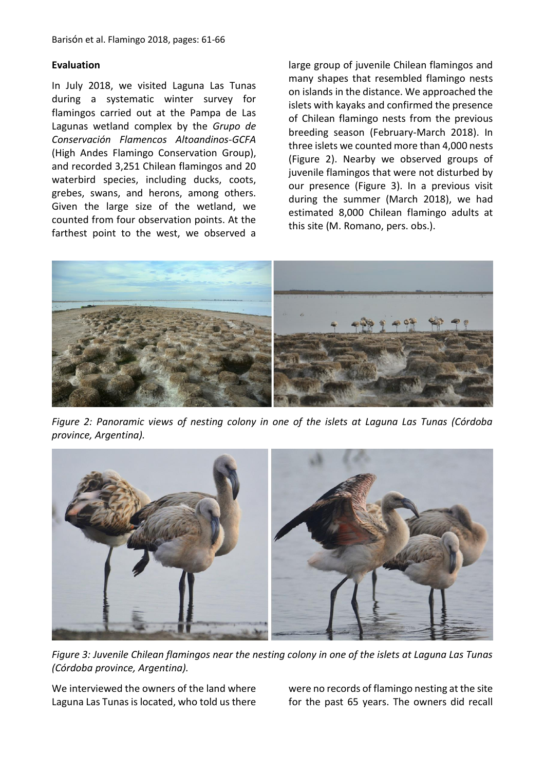#### **Evaluation**

In July 2018, we visited Laguna Las Tunas during a systematic winter survey for flamingos carried out at the Pampa de Las Lagunas wetland complex by the *Grupo de Conservación Flamencos Altoandinos-GCFA* (High Andes Flamingo Conservation Group), and recorded 3,251 Chilean flamingos and 20 waterbird species, including ducks, coots, grebes, swans, and herons, among others. Given the large size of the wetland, we counted from four observation points. At the farthest point to the west, we observed a

large group of juvenile Chilean flamingos and many shapes that resembled flamingo nests on islands in the distance. We approached the islets with kayaks and confirmed the presence of Chilean flamingo nests from the previous breeding season (February-March 2018). In three islets we counted more than 4,000 nests (Figure 2). Nearby we observed groups of juvenile flamingos that were not disturbed by our presence (Figure 3). In a previous visit during the summer (March 2018), we had estimated 8,000 Chilean flamingo adults at this site (M. Romano, pers. obs.).



*Figure 2: Panoramic views of nesting colony in one of the islets at Laguna Las Tunas (Córdoba province, Argentina).*



*Figure 3: Juvenile Chilean flamingos near the nesting colony in one of the islets at Laguna Las Tunas (Córdoba province, Argentina).*

We interviewed the owners of the land where Laguna Las Tunas is located, who told us there

were no records of flamingo nesting at the site for the past 65 years. The owners did recall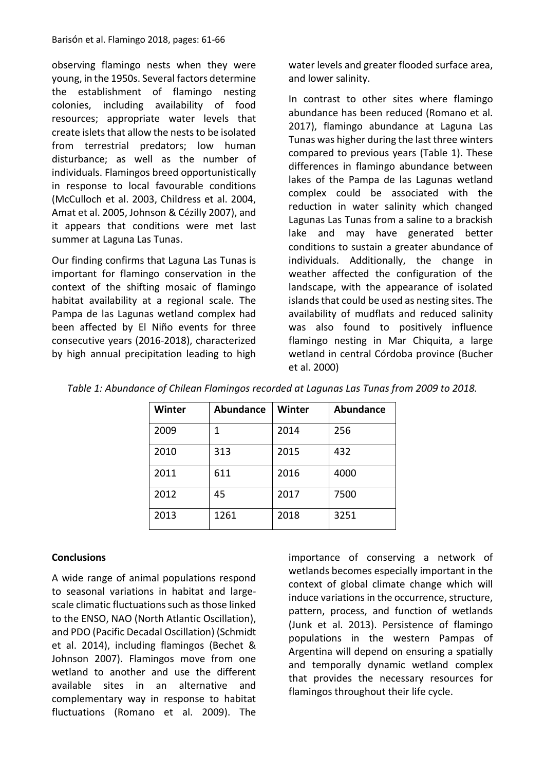observing flamingo nests when they were young, in the 1950s. Several factors determine the establishment of flamingo nesting colonies, including availability of food resources; appropriate water levels that create islets that allow the nests to be isolated from terrestrial predators; low human disturbance; as well as the number of individuals. Flamingos breed opportunistically in response to local favourable conditions (McCulloch et al. 2003, Childress et al. 2004, Amat et al. 2005, Johnson & Cézilly 2007), and it appears that conditions were met last summer at Laguna Las Tunas.

Our finding confirms that Laguna Las Tunas is important for flamingo conservation in the context of the shifting mosaic of flamingo habitat availability at a regional scale. The Pampa de las Lagunas wetland complex had been affected by El Niño events for three consecutive years (2016-2018), characterized by high annual precipitation leading to high water levels and greater flooded surface area, and lower salinity.

In contrast to other sites where flamingo abundance has been reduced (Romano et al. 2017), flamingo abundance at Laguna Las Tunas was higher during the last three winters compared to previous years (Table 1). These differences in flamingo abundance between lakes of the Pampa de las Lagunas wetland complex could be associated with the reduction in water salinity which changed Lagunas Las Tunas from a saline to a brackish lake and may have generated better conditions to sustain a greater abundance of individuals. Additionally, the change in weather affected the configuration of the landscape, with the appearance of isolated islands that could be used as nesting sites. The availability of mudflats and reduced salinity was also found to positively influence flamingo nesting in Mar Chiquita, a large wetland in central Córdoba province (Bucher et al. 2000)

| Table 1: Abundance of Chilean Flamingos recorded at Lagunas Las Tunas from 2009 to 2018. |  |
|------------------------------------------------------------------------------------------|--|
|------------------------------------------------------------------------------------------|--|

| Winter | <b>Abundance</b> | Winter | <b>Abundance</b> |
|--------|------------------|--------|------------------|
| 2009   | 1                | 2014   | 256              |
| 2010   | 313              | 2015   | 432              |
| 2011   | 611              | 2016   | 4000             |
| 2012   | 45               | 2017   | 7500             |
| 2013   | 1261             | 2018   | 3251             |

## **Conclusions**

A wide range of animal populations respond to seasonal variations in habitat and large‐ scale climatic fluctuations such as those linked to the ENSO, NAO (North Atlantic Oscillation), and PDO (Pacific Decadal Oscillation) (Schmidt et al. 2014), including flamingos (Bechet & Johnson 2007). Flamingos move from one wetland to another and use the different available sites in an alternative and complementary way in response to habitat fluctuations (Romano et al. 2009). The importance of conserving a network of wetlands becomes especially important in the context of global climate change which will induce variations in the occurrence, structure, pattern, process, and function of wetlands (Junk et al. 2013). Persistence of flamingo populations in the western Pampas of Argentina will depend on ensuring a spatially and temporally dynamic wetland complex that provides the necessary resources for flamingos throughout their life cycle.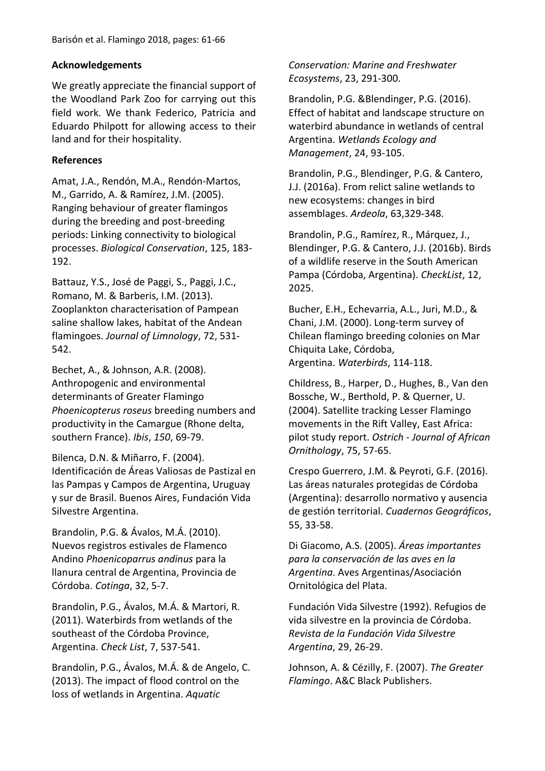# **Acknowledgements**

We greatly appreciate the financial support of the Woodland Park Zoo for carrying out this field work. We thank Federico, Patricia and Eduardo Philpott for allowing access to their land and for their hospitality.

# **References**

Amat, J.A., Rendón, M.A., Rendón-Martos, M., Garrido, A. & Ramírez, J.M. (2005). Ranging behaviour of greater flamingos during the breeding and post-breeding periods: Linking connectivity to biological processes. *Biological Conservation*, 125, 183- 192.

Battauz, Y.S., José de Paggi, S., Paggi, J.C., Romano, M. & Barberis, I.M. (2013). Zooplankton characterisation of Pampean saline shallow lakes, habitat of the Andean flamingoes. *Journal of Limnology*, 72, 531- 542.

Bechet, A., & Johnson, A.R. (2008). Anthropogenic and environmental determinants of Greater Flamingo *Phoenicopterus roseus* breeding numbers and productivity in the Camargue (Rhone delta, southern France). *Ibis*, *150*, 69-79.

Bilenca, D.N. & Miñarro, F. (2004). Identificación de Áreas Valiosas de Pastizal en las Pampas y Campos de Argentina, Uruguay y sur de Brasil. Buenos Aires, Fundación Vida Silvestre Argentina.

Brandolin, P.G. & Ávalos, M.Á. (2010). Nuevos registros estivales de Flamenco Andino *Phoenicoparrus andinus* para la llanura central de Argentina, Provincia de Córdoba. *Cotinga*, 32, 5-7.

Brandolin, P.G., Ávalos, M.Á. & Martori, R. (2011). Waterbirds from wetlands of the southeast of the Córdoba Province, Argentina. *Check List*, 7, 537-541.

Brandolin, P.G., Ávalos, M.Á. & de Angelo, C. (2013). The impact of flood control on the loss of wetlands in Argentina. *Aquatic* 

*Conservation: Marine and Freshwater Ecosystems*, 23, 291-300.

Brandolin, P.G. &Blendinger, P.G. (2016). Effect of habitat and landscape structure on waterbird abundance in wetlands of central Argentina. *Wetlands Ecology and Management*, 24, 93-105.

Brandolin, P.G., Blendinger, P.G. & Cantero, J.J. (2016a). From relict saline wetlands to new ecosystems: changes in bird assemblages. *Ardeola*, 63,329-348.

Brandolin, P.G., Ramírez, R., Márquez, J., Blendinger, P.G. & Cantero, J.J. (2016b). Birds of a wildlife reserve in the South American Pampa (Córdoba, Argentina). *CheckList*, 12, 2025.

Bucher, E.H., Echevarria, A.L., Juri, M.D., & Chani, J.M. (2000). Long-term survey of Chilean flamingo breeding colonies on Mar Chiquita Lake, Córdoba, Argentina. *Waterbirds*, 114-118.

Childress, B., Harper, D., Hughes, B., Van den Bossche, W., Berthold, P. & Querner, U. (2004). Satellite tracking Lesser Flamingo movements in the Rift Valley, East Africa: pilot study report. *Ostrich - Journal of African Ornithology*, 75, 57-65.

Crespo Guerrero, J.M. & Peyroti, G.F. (2016). Las áreas naturales protegidas de Córdoba (Argentina): desarrollo normativo y ausencia de gestión territorial. *Cuadernos Geográficos*, 55, 33-58.

Di Giacomo, A.S. (2005). *Áreas importantes para la conservación de las aves en la Argentina*. Aves Argentinas/Asociación Ornitológica del Plata.

Fundación Vida Silvestre (1992). Refugios de vida silvestre en la provincia de Córdoba. *Revista de la Fundación Vida Silvestre Argentina*, 29, 26-29.

Johnson, A. & Cézilly, F. (2007). *The Greater Flamingo*. A&C Black Publishers.